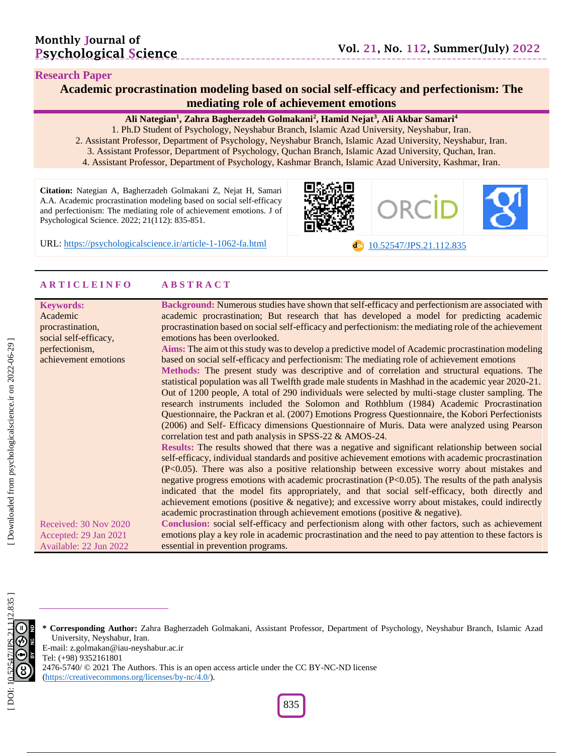#### **Research Paper**

# **Academic procrastination modeling based on social self -efficacy and perfectionism : The mediating role of achievement emotions**

#### **Ali Nategian 1 , Zahra Bagherzadeh Golmakani 2 , Hamid Nejat 3 , Ali Akbar Samari 4**

- 1. Ph .D Student of Psychology, Neyshabur Branch, Islamic Azad University, Neyshabur, Iran .
- 2. Assistant Professor, Department of Psychology, Neyshabur Branch, Islamic Azad University, Neyshabur, Iran.
	- 3. Assistant Professor, Department of Psychology, Quchan Branch, Islamic Azad University, Quchan, Iran .
	- 4. Assistant Professor, Department of Psychology, Kashmar Branch, Islamic Azad University, Kashmar, Iran.

**Citation:** Nategian A, Bagherzadeh Golmakani Z, Nejat H, Samari A.A. Academic procrastination modeling based on social self-efficacy and perfectionism: The mediating role of achievement emotions. J of Psychological Science. 2022; 21(112): 835-851.

URL: [https://psychologicalscience.ir/article](https://psychologicalscience.ir/article-1-1062-fa.html)-1-1062

-fa.html [10.52547/JPS.21.11](https://psychologicalscience.ir/article-1-1062-fa.html) 2 .835

#### **A R T I C L E I N F O A B S T R A C T**

| <b>Keywords:</b>       | Background: Numerous studies have shown that self-efficacy and perfectionism are associated with       |
|------------------------|--------------------------------------------------------------------------------------------------------|
| Academic               | academic procrastination; But research that has developed a model for predicting academic              |
| procrastination,       | procrastination based on social self-efficacy and perfectionism: the mediating role of the achievement |
| social self-efficacy,  | emotions has been overlooked.                                                                          |
| perfectionism,         | Aims: The aim ot this study was to develop a predictive model of Academic procrastination modeling     |
| achievement emotions   | based on social self-efficacy and perfectionism: The mediating role of achievement emotions            |
|                        | Methods: The present study was descriptive and of correlation and structural equations. The            |
|                        | statistical population was all Twelfth grade male students in Mashhad in the academic year 2020-21.    |
|                        | Out of 1200 people, A total of 290 individuals were selected by multi-stage cluster sampling. The      |
|                        | research instruments included the Solomon and Rothblum (1984) Academic Procrastination                 |
|                        | Questionnaire, the Packran et al. (2007) Emotions Progress Questionnaire, the Kobori Perfectionists    |
|                        | (2006) and Self- Efficacy dimensions Questionnaire of Muris. Data were analyzed using Pearson          |
|                        | correlation test and path analysis in SPSS-22 & AMOS-24.                                               |
|                        | Results: The results showed that there was a negative and significant relationship between social      |
|                        | self-efficacy, individual standards and positive achievement emotions with academic procrastination    |
|                        | $(P<0.05)$ . There was also a positive relationship between excessive worry about mistakes and         |
|                        | negative progress emotions with academic procrastination (P<0.05). The results of the path analysis    |
|                        | indicated that the model fits appropriately, and that social self-efficacy, both directly and          |
|                        | achievement emotions (positive $\&$ negative); and excessive worry about mistakes, could indirectly    |
|                        | academic procrastination through achievement emotions (positive & negative).                           |
|                        |                                                                                                        |
| Received: 30 Nov 2020  | Conclusion: social self-efficacy and perfectionism along with other factors, such as achievement       |
| Accepted: 29 Jan 2021  | emotions play a key role in academic procrastination and the need to pay attention to these factors is |
| Available: 22 Jun 2022 | essential in prevention programs.                                                                      |



**\* Corresponding Author:** Zahra Bagherzadeh Golmakani , Assistant Professor, Department of Psychology, Neyshabur Branch, Islamic Azad University, Neyshabur, Iran. E -mail: z.golmakan@iau -neyshabur.ac.ir Tel: (+98) 9352161801 2476-5740/ © 2021 The Authors. This is an open access article under the CC BY-NC-ND license

[\(https://creativecommons.org/licenses/by](https://creativecommons.org/licenses/by-nc/4.0/) -nc/4.0/).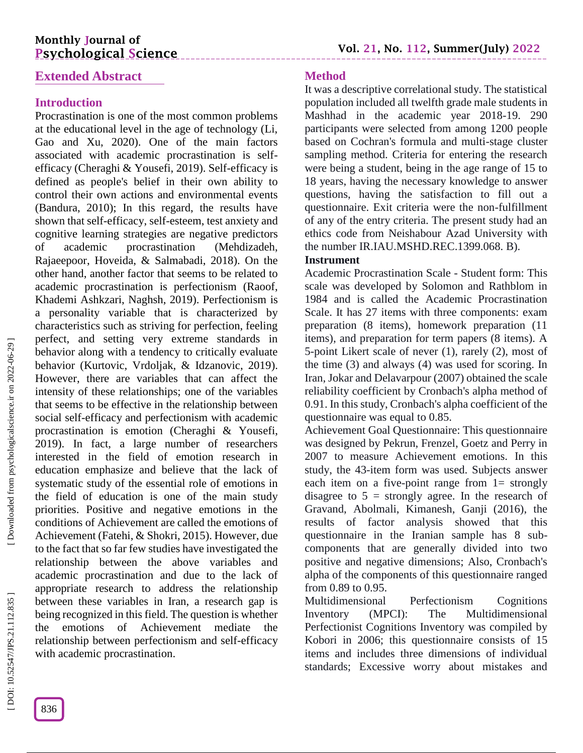# **Monthly Journal of Psychological Science**

# **Extended Abstract**

# **Introduction**

Procrastination is one of the most common problems at the educational level in the age of technology (Li, Gao and Xu, 2020). One of the main factors associated with academic procrastination is self efficacy (Cheraghi & Yousefi, 2019). Self-efficacy is defined as people's belief in their own ability to control their own actions and environmental events (Bandura, 2010); In this regard, the results have shown that self-efficacy, self-esteem, test anxiety and cognitive learning strategies are negative predictors of academic procrastination (Mehdizadeh, Rajaeepoor, Hoveida, & Salmabadi, 2018). On the other hand, another factor that seems to be related to academic procrastination is perfectionism (Raoof, Khademi Ashkzari, Naghsh, 2019). Perfectionism is a personality variable that is characterized by characteristics such as striving for perfection, feeling perfect, and setting very extreme standards in behavior along with a tendency to critically evaluate behavior (Kurtovic, Vrdoljak, & Idzanovic, 2019). However, there are variables that can affect the intensity of these relationships; one of the variables that seems to be effective in the relationship between social self-efficacy and perfectionism with academic procrastination is emotion (Cheraghi & Yousefi, 2019). In fact, a large number of researchers interested in the field of emotion research in education emphasize and believe that the lack of systematic study of the essential role of emotions in the field of education is one of the main study priorities. Positive and negative emotions in the conditions of Achievement are called the emotions of Achievement (Fatehi, & Shokri, 2015). However, due to the fact that so far few studies have investigated the relationship between the above variables and academic procrastination and due to the lack of appropriate research to address the relationship between these variables in Iran, a research gap is being recognized in this field. The question is whether the emotions of Achievement mediate the relationship between perfectionism and self-efficacy with academic procrastination.

# **Method**

It was a descriptive correlational study. The statistical population included all twelfth grade male students in Mashhad in the academic year 2018 -19. 290 participants were selected from among 1200 people based on Cochran's formula and multi -stage cluster sampling method. Criteria for entering the research were being a student, being in the age range of 15 to 18 years, having the necessary knowledge to answer questions, having the satisfaction to fill out a questionnaire. Exit criteria were the non -fulfillment of any of the entry criteria. The present study had an ethics code from Neishabour Azad University with the number IR.IAU.MSHD.REC.1399.068. B).

# **Instrument**

Academic Procrastination Scale - Student form: This scale was developed by Solomon and Rathblom in 1984 and is called the Academic Procrastination Scale. It has 27 items with three components: exam preparation (8 items), homework preparation (11 items), and preparation for term papers (8 items). A 5-point Likert scale of never (1), rarely (2), most of the time (3) and always (4) was used for scoring. In Iran, Jokar and Delavarpour (2007) obtained the scale reliability coefficient by Cronbach's alpha method of 0.91. In this study, Cronbach's alpha coefficient of the questionnaire was equal to 0.85.

Achievement Goal Questionnaire: This questionnaire was designed by Pekrun, Frenzel, Goetz and Perry in 2007 to measure Achievement emotions. In this study, the 43 -item form was used. Subjects answer each item on a five-point range from 1= strongly disagree to  $5 =$  strongly agree. In the research of Gravand, Abolmali, Kimanesh, Ganji (2016), the results of factor analysis showed that this questionnaire in the Iranian sample has 8 sub components that are generally divided into two positive and negative dimensions; Also, Cronbach's alpha of the components of this questionnaire ranged from 0.89 to 0.95.

Multidimensional Perfectionism Cognitions<br>Inventory (MPCI): The Multidimensional Inventory (MPCI): The Multidimensional Perfectionist Cognitions Inventory was compiled by Kobori in 2006; this questionnaire consists of 15 items and includes three dimensions of individual standards; Excessive worry about mistakes and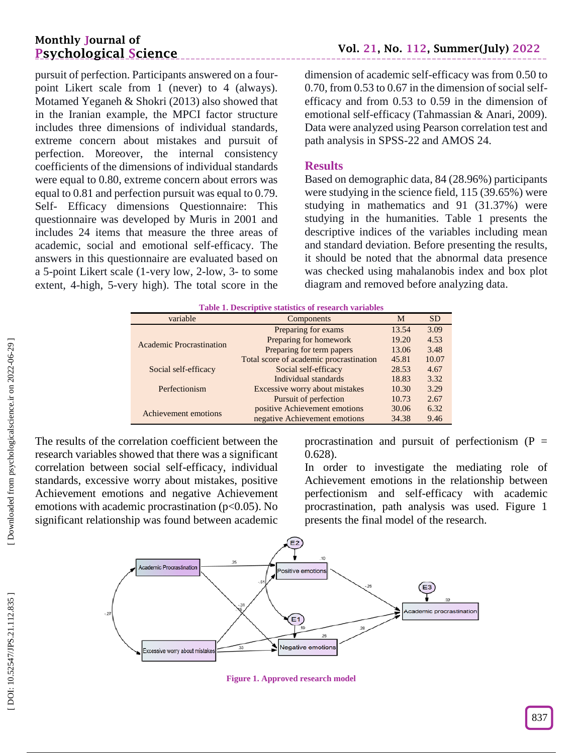# **Monthly Journal of Psychological Science**

pursuit of perfection. Participants answered on a four point Likert scale from  $1$  (never) to 4 (always). Motamed Yeganeh & Shokri (2013) also showed that in the Iranian example, the MPCI factor structure includes three dimensions of individual standards, extreme concern about mistakes and pursuit of perfection. Moreover, the internal consistency coefficients of the dimensions of individual standards were equal to 0.80, extreme concern about errors was equal to 0.81 and perfection pursuit was equal to 0.79. Self- Efficacy dimensions Questionnaire: This questionnaire was developed by Muris in 2001 and includes 24 items that measure the three areas of academic, social and emotional self -efficacy. The answers in this questionnaire are evaluated based on a 5 -point Likert scale (1 -very low, 2 -low, 3 - to some extent, 4 - high, 5 -very high). The total score in the

dimension of academic self-efficacy was from 0.50 to 0.70, from 0.53 to 0.67 in the dimension of social selfefficacy and from 0.53 to 0.59 in the dimension of emotional self-efficacy (Tahmassian & Anari, 2009). Data were analyzed using Pearson correlation test and path analysis in SPSS -22 and AMOS 24.

### **Results**

Based on demographic data, 84 (28.96%) participants were studying in the science field, 115 (39.65%) were studying in mathematics and 91 (31.37%) were studying in the humanities. Table 1 presents the descriptive indices of the variables including mean and standard deviation. Before presenting the results, it should be noted that the abnormal data presence was checked using mahalanobis index and box plot diagram and removed before analyzing data.

| Table 1. Descriptive statistics of research variables |                                         |           |       |  |  |
|-------------------------------------------------------|-----------------------------------------|-----------|-------|--|--|
| variable                                              | M                                       | <b>SD</b> |       |  |  |
|                                                       | Preparing for exams                     | 13.54     | 3.09  |  |  |
| <b>Academic Procrastination</b>                       | Preparing for homework                  | 19.20     | 4.53  |  |  |
|                                                       | Preparing for term papers               | 13.06     | 3.48  |  |  |
|                                                       | Total score of academic procrastination | 45.81     | 10.07 |  |  |
| Social self-efficacy                                  | Social self-efficacy                    | 28.53     | 4.67  |  |  |
|                                                       | Individual standards                    | 18.83     | 3.32  |  |  |
| Perfectionism                                         | Excessive worry about mistakes          | 10.30     | 3.29  |  |  |
|                                                       | Pursuit of perfection                   | 10.73     | 2.67  |  |  |
| Achievement emotions                                  | positive Achievement emotions           | 30.06     | 6.32  |  |  |
|                                                       | negative Achievement emotions           | 34.38     | 9.46  |  |  |

The results of the correlation coefficient between the research variables showed that there was a significant correlation between social self-efficacy, individual standards, excessive worry about mistakes, positive Achievement emotions and negative Achievement emotions with academic procrastination ( $p<0.05$ ). No significant relationship was found between academic

procrastination and pursuit of perfectionism  $(P =$ 0.628).

In order to investigate the mediating role of Achievement emotions in the relationship between perfectionism and self-efficacy with academic procrastination, path analysis was used. Figure 1 presents the final model of the research.



**Figure 1. Approved research model**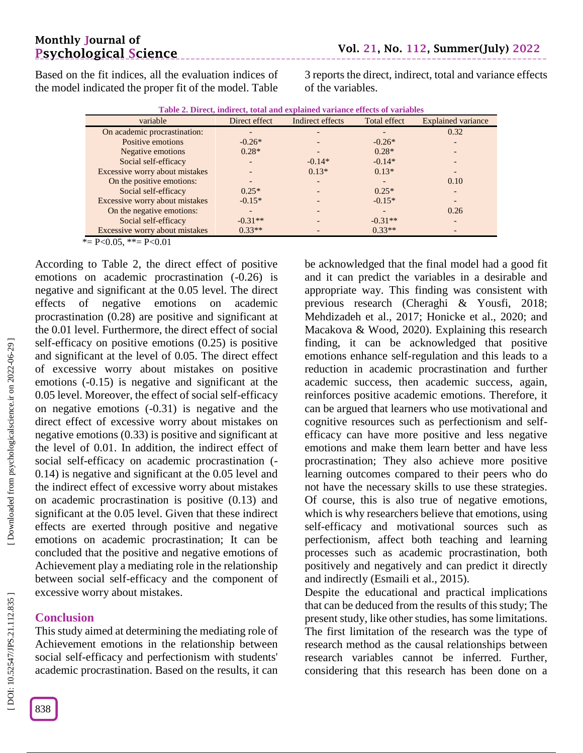# **Monthly Journal of Psychological Science**

Based on the fit indices, all the evaluation indices of the model indicated the proper fit of the model. Table 3 reports the direct, indirect, total and variance effects of the variables.

| Table 2. Direct, indirect, total and explained variance effects of variables |  |
|------------------------------------------------------------------------------|--|
|------------------------------------------------------------------------------|--|

| variable                       | Direct effect | Indirect effects | Total effect | <b>Explained variance</b> |
|--------------------------------|---------------|------------------|--------------|---------------------------|
| On academic procrastination:   |               |                  |              | 0.32                      |
| Positive emotions              | $-0.26*$      |                  | $-0.26*$     |                           |
| Negative emotions              | $0.28*$       |                  | $0.28*$      |                           |
| Social self-efficacy           |               | $-0.14*$         | $-0.14*$     |                           |
| Excessive worry about mistakes |               | $0.13*$          | $0.13*$      |                           |
| On the positive emotions:      |               |                  |              | 0.10                      |
| Social self-efficacy           | $0.25*$       |                  | $0.25*$      |                           |
| Excessive worry about mistakes | $-0.15*$      |                  | $-0.15*$     |                           |
| On the negative emotions:      |               |                  |              | 0.26                      |
| Social self-efficacy           | $-0.31**$     |                  | $-0.31**$    |                           |
| Excessive worry about mistakes | $0.33**$      |                  | $0.33**$     |                           |

 $* = P < 0.05$ ,  $* = P < 0.01$ 

According to Table 2, the direct effect of positive emotions on academic procrastination ( -0.26) is negative and significant at the 0.05 level. The direct effects of negative emotions on academic procrastination  $(0.28)$  are positive and significant at the 0.01 level. Furthermore, the direct effect of social self-efficacy on positive emotions (0.25) is positive and significant at the level of 0.05. The direct effect of excessive worry about mistakes on positive emotions ( -0.15) is negative and significant at the 0.05 level. Moreover, the effect of social self -efficacy on negative emotions ( -0.31) is negative and the direct effect of excessive worry about mistakes on negative emotions (0.33) is positive and significant at the level of 0.01. In addition, the indirect effect of social self-efficacy on academic procrastination (-0.14) is negative and significant at the 0.05 level and the indirect effect of excessive worry about mistakes on academic procrastination is positive (0.13) and significant at the 0.05 level. Given that these indirect effects are exerted through positive and negative emotions on academic procrastination; It can be concluded that the positive and negative emotions of Achievement play a mediating role in the relationship between social self -efficacy and the component of excessive worry about mistakes.

# **Conclusion**

This study aimed at determining the mediating role of Achievement emotions in the relationship between social self-efficacy and perfectionism with students' academic procrastination. Based on the results, it can

be acknowledged that the final model had a good fit and it can predict the variables in a desirable and appropriate way. This finding was consistent with previous research (Cheraghi & Yousfi, 2018; Mehdizadeh et al., 2017; Honicke et al., 2020; and Macakova & Wood, 2020). Explaining this research finding, it can be acknowledged that positive emotions enhance self-regulation and this leads to a reduction in academic procrastination and further academic success, then academic success, again, reinforces positive academic emotions. Therefore, it can be argued that learners who use motivational and cognitive resources such as perfectionism and self efficacy can have more positive and less negative emotions and make them learn better and have less procrastination; They also achieve more positive learning outcomes compared to their peers who do not have the necessary skills to use these strategies. Of course, this is also true of negative emotions, which is why researchers believe that emotions, using self-efficacy and motivational sources such as perfectionism, affect both teaching and learning processes such as academic procrastination, both positively and negatively and can predict it directly and indirectly (Esmaili et al., 2015).

Despite the educational and practical implications that can be deduced from the results of this study; The present study, like other studies, has some limitations. The first limitation of the research was the type of research method as the causal relationships between research variables cannot be inferred. Further, considering that this research has been done on a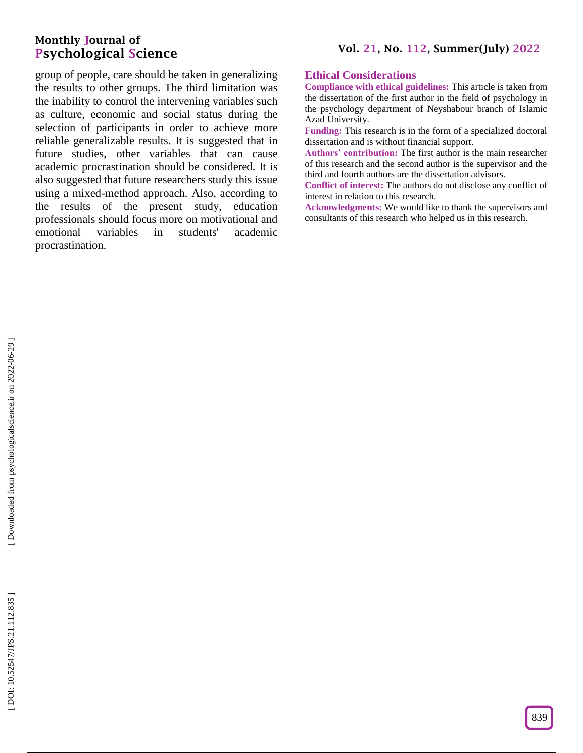group of people, care should be taken in generalizing the results to other groups. The third limitation was the inability to control the intervening variables such as culture, economic and social status during the selection of participants in order to achieve more reliable generalizable results. It is suggested that in future studies, other variables that can cause academic procrastination should be considered. It is also suggested that future researchers study this issue using a mixed -method approach. Also, according to the results of the present study, education professionals should focus more on motivational and emotional variables in students' academic procrastination.

\_\_\_\_\_\_\_\_\_\_\_\_\_\_\_\_\_

### **Ethical Considerations**

**Compliance with ethical guidelines:** This article is taken from the dissertation of the first author in the field of psychology in the psychology department of Neyshabour branch of Islamic Azad University.

**Funding:** This research is in the form of a specialized doctoral dissertation and is without financial support.

**Authors' contribution:** The first author is the main researcher of this research and the second author is the supervisor and the third and fourth authors are the dissertation advisors.

**Conflict of interest:** The authors do not disclose any conflict of interest in relation to this research.

**Acknowledgments:** We would like to thank the supervisors and consultants of this research who helped us in this research.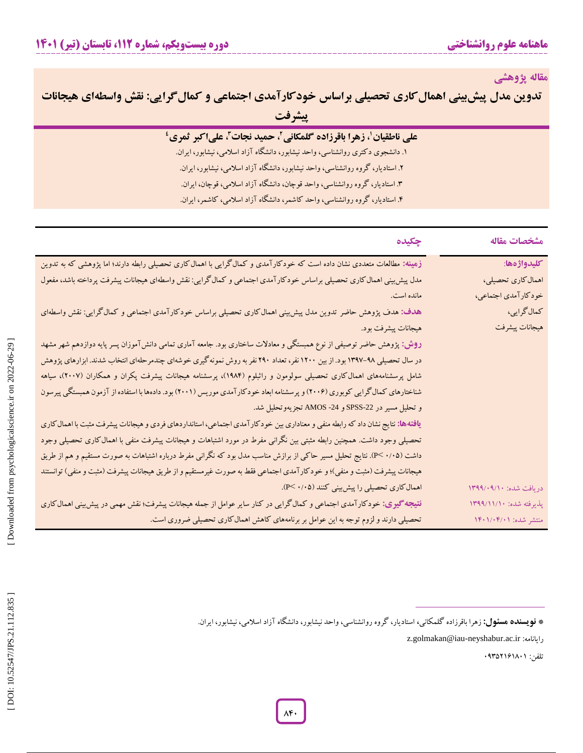**مقاله پژوهشی**

| تدوین مدل پیش بینی اهمال کاری تحصیلی براساس خودکارآمدی اجتماعی و کمال گرایی: نقش واسطهای هیجانات |  |
|--------------------------------------------------------------------------------------------------|--|
| ييشرفت                                                                                           |  |

| على ناطقيان'، زهرا باقرزاده گلمكاني'، حميد نجات''، علىاكبر ثمري'                |  |
|---------------------------------------------------------------------------------|--|
| ۱. دانشجوی دکتری روانشناسی، واحد نیشابور، دانشگاه آزاد اسلامی، نیشابور، ایران.  |  |
| ۲. استادیار، گروه روانشناسی، واحد نیشابور، دانشگاه آزاد اسلامی، نیشابور، ایران. |  |
| ۳. استادیار، گروه روانشناسی، واحد قوچان، دانشگاه آزاد اسلامی، قوچان، ایران.     |  |
| ۴. استادیار، گروه روانشناسی، واحد کاشمر، دانشگاه آزاد اسلامی، کاشمر، ایران.     |  |

| مشخصات مقاله            | چکیده                                                                                                                                 |
|-------------------------|---------------------------------------------------------------------------------------------------------------------------------------|
| كليدواژهها:             | زهینه: مطالعات متعددی نشان داده است که خودکارآمدی و کمالگرایی با اهمال کاری تحصیلی رابطه دارند؛ اما پژوهشی که به تدوین                |
| اهمال كاري تحصيلي،      | مدل پیش بینی اهمال کاری تحصیلی براساس خودکار آمدی اجتماعی و کمال گرایی: نقش واسطهای هیجانات پیشرفت پرداخته باشد، مفعول                |
| خودكارآمدي اجتماعي،     | مانده است.                                                                                                                            |
| كمال گرايي،             | هدف: هدف پژوهش حاضر تدوین مدل پیش بینی اهمال کاری تحصیلی براساس خودکارآمدی اجتماعی و کمال گرایی: نقش واسطهای                          |
| هيجانات پيشرفت          | هيجانات پيشرفت بود.                                                                                                                   |
|                         | <b>روش: پ</b> ژوهش حاضر توصیفی از نوع همبستگی و معادلات ساختاری بود. جامعه آماری تمامی دانشآموزان پسر پایه دوازدهم شهر مشهد           |
|                         | در سال تحصیلی ۹۸–۱۳۹۷ بود. از بین ۱۲۰۰ نفر، تعداد ۲۹۰ نفر به روش نمونه گیری خوشهای چندمرحلهای انتخاب شدند. ابزارهای پژوهش             |
|                         | شامل پرسشنامههای اهمالکاری تحصیلی سولومون و راثبلوم (۱۹۸۴)، پرسشنامه هیجانات پیشرفت پکران و همکاران (۲۰۰۷)، سیاهه                     |
|                         | شناختارهای کمال گرایی کوبوری (۲۰۰۶) و پرسشنامه ابعاد خودکار آمدی موریس (۲۰۰۱) بود. دادهها با استفاده از آزمون همبستگی پیرسون          |
|                         | و تحليل مسير در SPSS-22 و AMOS -24 تجزيهوتحليل شد.                                                                                    |
|                         | <b>یافتهها:</b> نتایج نشان داد که رابطه منفی و معناداری بین خودکارآمدی اجتماعی، استانداردهای فردی و هیجانات پیشرفت مثبت با اهمال کاری |
|                         | تحصیلی وجود داشت. همچنین رابطه مثبتی بین نگرانی مفرط در مورد اشتباهات و هیجانات پیشرفت منفی با اهمال کاری تحصیلی وجود                 |
|                         | داشت (۲/۰۵- ). نتایج تحلیل مسیر حاکی از برازش مناسب مدل بود که نگرانی مفرط درباره اشتباهات به صورت مستقیم و هم از طریق                |
|                         | هیجانات پیشرفت (مثبت و منفی)؛ و خودکارآمدی اجتماعی فقط به صورت غیرمستقیم و از طریق هیجانات پیشرفت (مثبت و منفی) توانستند              |
| دريافت شده: ١٣٩٩/٠٩/١٠  | اهمال کاری تحصیلی را پیش بینی کنند (۰/۰۵).                                                                                            |
| پذیرفته شده: ۱۳۹۹/۱۱/۱۰ | <b>نتیجه گیری:</b> خودکارآمدی اجتماعی و کمالگرایی در کنار سایر عوامل از جمله هیجانات پیشرفت؛ نقش مهمی در پیش بینی اهمالکاری           |
| منتشر شده: ۱۴۰۱/۰۴/۰۱   | تحصیلی دارند و لزوم توجه به این عوامل بر برنامههای کاهش اهمال کاری تحصیلی ضروری است.                                                  |
|                         | * <b>نویسنده هسئول:</b> زهرا باقرزاده گلمکانی، استادیار، گروه روانشناسی، واحد نیشابور، دانشگاه آزاد اسلامی، نیشابور، ایران            |

z.golmakan@iau -neyshabur.ac.ir :رایانامه

تلفن: 89302121081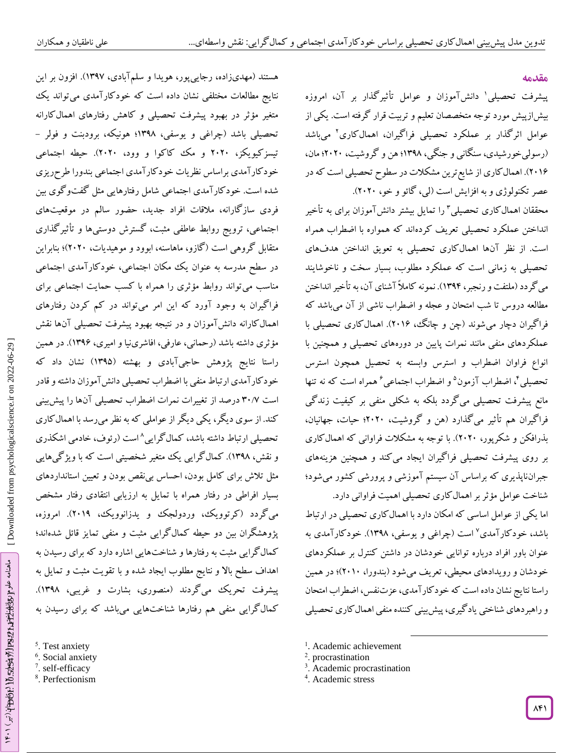هستند (مهدیزاده، رجاییپور، هویدا و سلمآبادی، ۱۳۹۷). افزون بر این نتایج مطالعات مختلفی نشان داده است که خودکارآمدی میتواند یک

متغیر مؤثر در بهبود پیشرفت تحصیلی و کاهش رفتارهای اهمالکارانه<br>تحصیلی باشد (چراغی و یوسفی، ۱۳۹۸؛ هونیکه، برودبنت و فولر –

تیسزکیویکز، 2828 و مک کاکوا و وود، 2828(. حیطه اجتماعی

خودکارآمدی براساس نظریات خودکارآمدی اجتماعی بندورا طرحریزی

شده است. خودکارآمدی اجتماعی شامل رفتارهایی مثل گفتوگوی بین فردی سازگارانه، مالقات افراد جدید، حضور سالم در موقعیتهای اجتماعی، ترویج روابط عاطفی مثبت، گسترش دوستیها و تأثیرگذاری

متقابل گروهی است )گازو، ماهاسنه، ابوود و موهیدیات، 2828(؛ بنابراین در سطح مدرسه به عنوان یک مکان اجتماعی، خودکارآمدی اجتماعی

مناسب میتواند روابط مؤثری را همراه با کسب حمایت اجتماعی برای فراگیران به وجود آورد که این امر میتواند در کم کردن رفتارهای

اهمالکارانه دانشآموزان و در نتیجه بهبود پیشرفت تحصیلی آنها نقش مؤثری داشته باشد )رحمانی، عارفی، افاشرینیا و امیری، 1392(. در همین راستا نتایج پژوهش حاجیآبادی و بهشته )1390( نشان داد که خودکارآمدی ارتباط منفی با اضطراب تحصیلی دانشآموزان داشته وقادر

است ۳۰/۷ درصد از تغییرات نمرات اضطراب تحصیلی آنها را پیش بینی کند. از سوی دیگر، یکی دیگر از عواملی که به نظر میرسد با اهمالکاری

تحصیلی ارتباط داشته باشد، کمالگرایی^است (رئوف، خادمی اشکذری

و نقش، ۱۳۹۸). کمال کرایی یک متغیر شخصیتی است که با ویژ گیهایی مثل تالش برای کامل بودن، احساس بینقص بودن و تعیین استانداردهای

بسیار افراطی در رفتار همراه با تمایل به ارزیابی انتقادی رفتار مشخص

می کردد (کرتوویک، وردولجک و یدزانوویک، ۲۰۱۹). امروزه، پژوهشگران بین دو حیطه کمالگرایی مثبت و منفی تمایز قائل شدهاند؛

کمالگرایی مثبت به رفتارها و شناختهایی اشاره دارد که برای رسیدن به

اهداف سطح باال و نتایج مطلوب ایجاد شده و با تقویت مثبت و تمایل به پیشرفت تحریک میگردند )منصوری، بشارت و غریبی، 1390(.

#### **مقدمه**

پیشرفت تحصیلی' دانشآموزان و عوامل تأثیرگذار بر آن، امروزه بیشازپیش مورد توجه متخصصان تعلیم و تربیت قرار گرفته است. یکی از عوامل اثرگذار بر عملکرد تحصیلی فراگیران، اهمالکاری 2 میباشد )رسولیخورشیدی، سنگانی و جنگی، 1390؛ هن و گروشیت، 2828؛ مان، 2812(. اهمالکاری از شایعترین مشکالت در سطوح تحصیلی است که در عصر تکنولوژی و به افزایش است (لی، گائو و خو، ۲۰۲۰).

محققان اهمالکاری تحصیلی <sup>۲</sup> را تمایل بیشتر دانشآموزان برای به تأخیر انداختن عملکرد تحصیلی تعریف کردهاند که همواره با اضطراب همراه است. از نظر آنها اهمالکاری تحصیلی به تعویق انداختن هدفهای تحصیلی به زمانی است که عملکرد مطلوب، بسیار سخت و ناخوشایند میگردد )ملتفت و رنجبر، 1394(. نمونه کامالً آشنای آن، به تأخیر انداختن مطالعه دروس تا شب امتحان و عجله و اضطراب ناشی از آن میباشد که فراگیران دچار میشوند )چن و چانگ، 2812(. اهمالکاری تحصیلی با عملکردهای منفی مانند نمرات پایین در دورههای تحصیلی و همچنین با انواع فراوان اضطراب و استرس وابسته به تحصیل همچون استرس تحصیلی'، اضطراب آزمون° و اضطراب اجتماعی<sup>۶</sup> همراه است که نه تنها مانع پیشرفت تحصیلی میگردد بلکه به شکلی منفی بر کیفیت زندگی فراگیران هم تأثیر میگذارد )هن و گروشیت، 2828؛ حیات، جهانیان، بذرافکن و شکرپور، 2828(. با توجه به مشکالت فراوانی که اهمالکاری بر روی پیشرفت تحصیلی فراگیران ایجاد میکند و همچنین هزینههای جبرانناپذیری که براساس آن سیستم آموزشی و پرورشی کشور میشود؛ شناخت عوامل مؤثر بر اهمالکاری تحصیلی اهمیت فراوانی دارد.

اما یکی از عوامل اساسی که امکان دارد با اهمالکاری تحصیلی در ارتباط باشد، خودکارآمدی<sup>۷</sup> است (چراغی و یوسفی، ۱۳۹۸). خودکارآمدی به عنوان باور افراد درباره توانایی خودشان در داشتن کنترل بر عملکردهای خودشان و رویدادهای محیطی، تعریف میشود )بندورا، 2818(؛ در همین راستا نتایج نشان داده است که خودکارآمدی، عزتنفس، اضطراب امتحان و راهبردهای شناختی یاد کیری، پیش بینی کننده منفی اهمال کاری تحصیلی

 $\overline{\phantom{a}}$ 

- کمالگرایی منفی هم رفتارها شناختهایی میباشد که برای رسیدن به<br><sup>5</sup>. Test anxiety <sup>6</sup>. Social anxiety و<br><sup>6</sup>. Social anxiety <sup>7</sup>. self-efficacy <sup>7</sup>. Self-efficacy <sup>8</sup>. Perfectionism
- 
- 
- 
- <sup>1</sup>. Academic achievement
- 2 . procrastination
- 3 . Academic procrastination
- 4 . Academic stress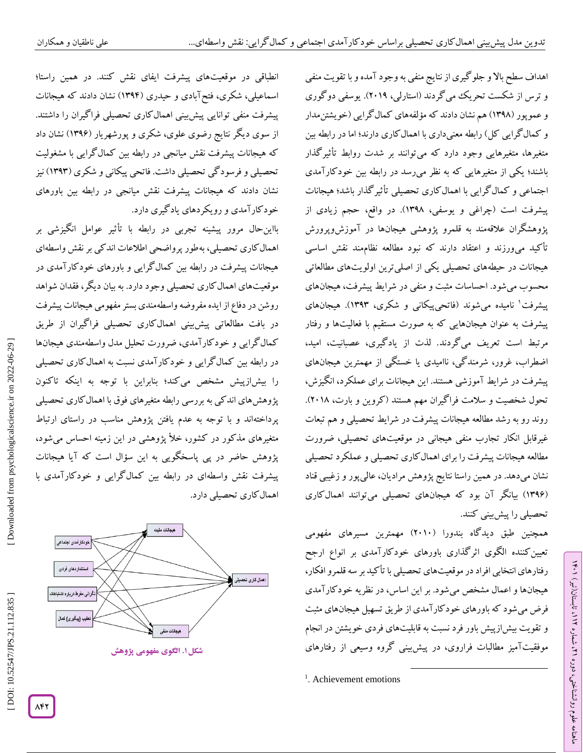انطباقی در موقعیتهای پیشرفت ایفای نقش کنند. در همین راستا؛ اسماعیلی، شکری، فتحآبادی و حیدری )1394( نشان دادند که هیجانات پیشرفت منفی توانایی پیشبینی اهمالکاری تحصیلی فراگیران را داشتند. از سوی دیگر نتایج رضوی علوی، شکری و پورشهریار )1392( نشان داد که هیجانات پیشرفت نقش میانجی در رابطه بین کمالگرایی با مشغولیت تحصیلی و فرسودگی تحصیلی داشت. فاتحی پیکانی و شکری )1393( نیز نشان دادند که هیجانات پیشرفت نقش میانجی در رابطه بین باورهای خودکارآمدی و رویکردهای یادگیری دارد. بااینحال مرور پیشینه تجربی در رابطه با تأثیر عوامل انگیزشی بر

اهمالکاری تحصیلی، بهطور پرواضحی اطالعات اندکی بر نقش واسطهای هیجانات پیشرفت در رابطه بین کمالگرایی و باورهای خودکارآمدی در موقعیتهای اهمالکاری تحصیلی وجود دارد. به بیان دیگر، فقدان شواهد روشن در دفاع از ایده مفروضه واسطهمندی بستر مفهومی هیجانات پیشرفت در بافت مطالعاتی پیشبینی اهمالکاری تحصیلی فراگیران از طریق کمالگرایی و خودکارآمدی، ضرورت تحلیل مدل واسطهمندی هیجانها در رابطه بین کمالگرایی و خودکارآمدی نسبت به اهمالکاری تحصیلی را بیشازپیش مشخص میکند؛ بنابراین با توجه به اینکه تاکنون پژوهشهای اندکی به بررسی رابطه متغیرهای فوق با اهمالکاری تحصیلی پرداختهاند و با توجه به عدم یافتن پژوهش مناسب در راستای ارتباط ، متغیرهای مذکور در کشور، خأل پژوهشی در این زمینه احساس میشود پژوهش حاضر در پی پاسخگویی به این سؤال است که آیا هیجانات پیشرفت نقش واسطهای در رابطه بین کمالگرایی و خودکارآمدی با اهمال کاری تحصیلی دارد.



**. الگوی مفهومی پژوهش شکل1**

اهداف سطح باال و جلوگیری از نتایج منفی به وجود آمده و با تقویت منفی و ترس از شکست تحریک میگردند )استارلی، 2819(. یوسفی دوگوری و عموپور (۱۳۹۸) هم نشان دادند که مؤلفههای کمال گرایی (خویشتنءدار و کمال کرایی کل) رابطه معنیداری با اهمال کاری دارند؛ اما در رابطه بین متغیرها، متغیرهایی وجود دارد که میتوانند بر شدت روابط تأثیرگذار باشند؛ یکی از متغیرهایی که به نظر میرسد در رابطه بین خودکارآمدی اجتماعی و کمالگرایی با اهمالکاری تحصیلی تأثیرگذار باشد؛ هیجانات پیشرفت است )چراغی و یوسفی، 1390(. در واقع، حجم زیادی از پژوهشگران عالقهمند به قلمرو پژوهشی هیجانها در آموزشوپرورش تأکید میورزند و اعتقاد دارند که نبود مطالعه نظاممند نقش اساسی هیجانات در حیطههای تحصیلی یکی از اصلیترین اولویتهای مطالعاتی محسوب میشود. احساسات مثبت و منفی در شرایط پیشرفت، هیجانهای پیشرفت 1 نامیده میشوند )فاتحیپیکانی و شکری، 1393(. هیجانهای پیشرفت به عنوان هیجانهایی که به صورت مستقیم با فعالیتها و رفتار مرتبط است تعریف میگردند. لذت از یادگیری، عصبانیت، امید، اضطراب، غرور، شرمندگی، ناامیدی یا خستگی از مهمترین هیجانهای پیشرفت در شرایط آموزشی هستند. این هیجانات برای عملکرد، انگیزش، تحول شخصیت و سلامت فراگیران مهم هستند (گروین و بارت، ۲۰۱۸). روند رو به رشد مطالعه هیجانات پیشرفت در شرایط تحصیلی و هم تبعات غیرقابل انکار تجارب منفی هیجانی در موقعیتهای تحصیلی، ضرورت مطالعه هیجانات پیشرفت را برای اهمالکاری تحصیلی و عملکرد تحصیلی نشان میدهد. در همین راستا نتایج پژوهش مرادیان، عالیپور و زغیبی قناد (۱۳۹۶) بیانگر آن بود که هیجانهای تحصیلی میتوانند اهمال کاری تحصیلی را پیشبینی کنند.

همچنین طبق دیدگاه بندورا )2818( مهمترین مسیرهای مفهومی تعیینکننده الگوی اثرگذاری باورهای خودکارآمدی بر انواع ارجح رفتارهای انتخابی افراد در موقعیتهای تحصیلی با تأکید بر سه قلمروافکار، هیجانها و اعمال مشخص میشود. بر این اساس، در نظریه خودکارآمدی فرض میشود که باورهای خودکارآمدی از طریق تسهیل هیجانهای مثبت و تقویت بیشازپیش باور فرد نسبت به قابلیتهای فردی خویشتن در انجام موفقیتآمیز مطالبات فراروی، در پیشبینی گروه وسیعی از رفتارهای

 $\overline{\phantom{a}}$ 

DOI: 10.52547/JPS.21.112.835

 [\[ DOI: 10.52547/JPS.21.112.835 \]](http://dx.doi.org/10.52547/JPS.21.112.835) [\[ Downloaded from psychologicalscience.i](https://psychologicalscience.ir/article-1-1062-fa.html)r on 2022-06-29 ]

Downloaded from psychologicalscience.ir on 2022-06-29

<sup>&</sup>lt;sup>1</sup>. Achievement emotions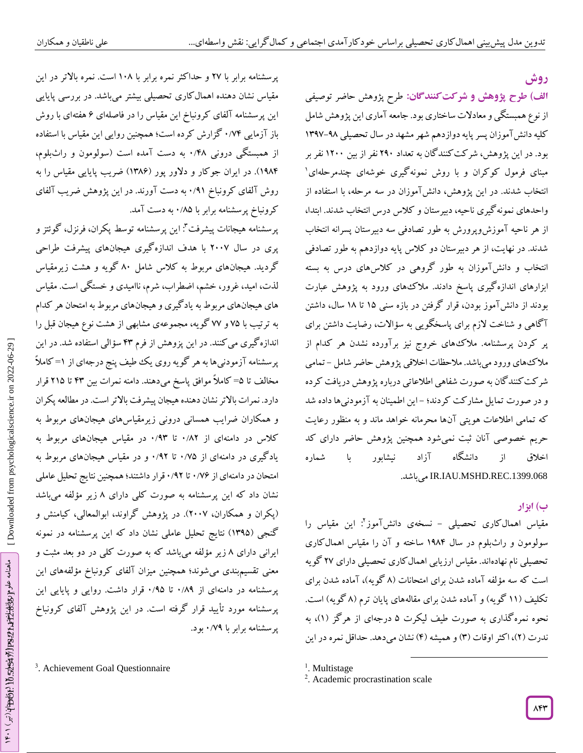**روش**

طرح پژوهش حاضر توصیفی **شرکتکنندگان: الف( طرح پژوهش و** از نوع همبستگی و معادالت ساختاری بود. جامعه آماری این پژوهش شامل کلیه دانش آموزان پسر پایه دوازدهم شهر مشهد در سال تحصیلی ۹۸–۱۳۹۷ بود. در این پژوهش، شرکتکنندگان به تعداد 298 نفر از بین 1288 نفر بر مبنای فرمول کوکران و با روش نمونهگیری خوشهای چندمرحلهای 1 انتخاب شدند. در این پژوهش، دانشآموزان در سه مرحله، با استفاده از واحدهای نمونهگیری ناحیه، دبیرستان و کالس درس انتخاب شدند. ابتدا، از هر ناحیه آموزشوپرورش به طور تصادفی سه دبیرستان پسرانه انتخاب شدند. در نهایت، از هر دبیرستان دو کالس پایه دوازدهم به طور تصادفی انتخاب و دانشآموزان به طور گروهی در کالسهای درس به بسته ابزارهای اندازهگیری پاسخ دادند. مالکهای ورود به پژوهش عبارت بودند از دانشآموز بودن، قرار گرفتن در بازه سنی 10 تا 10 سال، داشتن آگاهی و شناخت الزم برای پاسخگویی به سؤاالت، رضایت داشتن برای پر کردن پرسشنامه. مالکهای خروج نیز برآورده نشدن هر کدام از ملا کُهای ورود میباشد. ملاحظات اخلاقی پژوهش حاضر شامل – تمامی شرکتکنندگان به صورت شفاهی اطالعاتی درباره پژوهش دریافت کرده و در صورت تمایل مشار کت گردند؛ –این اطمینان به آزمودنیها داده شد که تمامی اطالعات هویتی آنها محرمانه خواهد ماند و به منظور رعایت حریم خصوصی آنان ثبت نمیشود همچنین پژوهش حاضر دارای کد اخالق از دانشگاه آزاد نیشابور با شماره .میباشد IR.IAU.MSHD.REC.1399.068

# **ب( ابزار**

مقیاس اهمالکاری تحصیلی – نسخهی دانشآموز<sup>۲</sup>: این مقیاس را سولومون و راثبلوم در سال 1904 ساخته و آن را مقیاس اهمالکاری تحصیلی نام نهادهاند. مقیاس ارزیابی اهمالکاری تحصیلی دارای 21 گویه است که سه مؤلفه آماده شدن برای امتحانات (۸ کویه)، آماده شدن برای تکلیف (۱۱ گویه) و آماده شدن برای مقالههای پایان ترم (۸ گویه) است. نحوه نمره کداری به صورت طیف لیکرت ۵ درجهای از هر کز (۱)، به ندرت (۲)، اکثر اوقات (۳) و همیشه (۴) نشان میدهد. حداقل نمره در این

 $\overline{\phantom{a}}$ 

<sup>1</sup>. Multistage

پرسشنامه برابر با 21 و حداکثر نمره برابر با 180 است. نمره باالتر در این مقیاس نشان دهنده اهمالکاری تحصیلی بیشتر میباشد. در بررسی پایایی این پرسشنامه آلفای کرونباخ این مقیاس را در فاصلهای ۶ هفتهای با روش باز آزمایی ۰/۷۴ کزارش کرده است؛ همچنین روایی این مقیاس با استفاده از همبستگی درونی ۱۴۸. به دست امده است (سولومون و راثبلوم، 1904(. در ایران جوکار و دالور پور )1302( ضریب پایایی مقیاس را به روش آلفای کرونباخ ۰/۹۱ به دست آورند. در این پژوهش ضریب آلفای کرونباخ پرسشنامه برابر با ۱/۸۵ به دست آمد.

پرسشنامه هیجانات پیشرفت": این پرسشنامه توسط پکران، فرنزل، گوئتز و پری در سال 2881 با هدف اندازهگیری هیجانهای پیشرفت طراحی گردید. هیجانهای مربوط به کالس شامل 08 گویه و هشت زیرمقیاس لذت، امید، غرور، خشم، اضطراب، شرم، ناامیدی و خستگی است. مقیاس های هیجانهای مربوط به یادگیری و هیجانهای مربوط به امتحان هر کدام به ترتیب با 10 و 11 گویه، مجموعهی مشابهی از هشت نوع هیجان قبل را اندازه کیری می کنند. در این پزوهش از فرم ۴۳ سؤالی استفاده شد. در این پرسشنامه آزمودنیها به هر گویه روی یک طیف پنج درجهای از ۱=کاملاً مخالف تا ۵=کاملاً موافق پاسخ میدهند. دامنه نمرات بین ۴۳ تا ۲۱۵ قرار دارد. نمرات بالاتر نشان دهنده هیجان پیشرفت بالاتر است. در مطالعه پکران و همکاران ضرایب همسانی درونی زیرمقیاسهای هیجانهای مربوط به کلاس در دامنهای از ۰/۸۲ تا ۰/۹۳ در مقیاس هیجانهای مربوط به یاد کیری در دامنهای از ۰/۷۵ تا ۰/۹۲ و در مقیاس هیجانهای مربوط به امتحان در دامنهای از ۱/۷۶ تا ۱٬۹۲ قرار داشتند؛ همچنین نتایج تحلیل عاملی نشان داد که این پرسشنامه به صورت کلی دارای ۸ زیر مؤلفه میباشد )پکران و همکاران، 2881(. در پژوهش گراوند، ابوالمعالی، کیامنش و گنجی )1390( نتایج تحلیل عاملی نشان داد که این پرسشنامه در نمونه ایرانی دارای ۸ زیر مؤلفه میباشد که به صورت کلی در دو بعد مثبت و معنی تقسیمبندی میشوند؛ همچنین میزان آلفای کرونباخ مؤلفههای این پرسشنامه در دامنهای از ۰/۸۹ تا ۰/۹۵ قرار داشت. روایی و پایایی این پرسشنامه مورد تأیید قرار گرفته است. در این پژوهش آلفای کرونباخ پرسشنامه برابر با ۷۹/۰ بود.

3 . Achievement Goal Questionnaire

<sup>2</sup> . Academic procrastination scale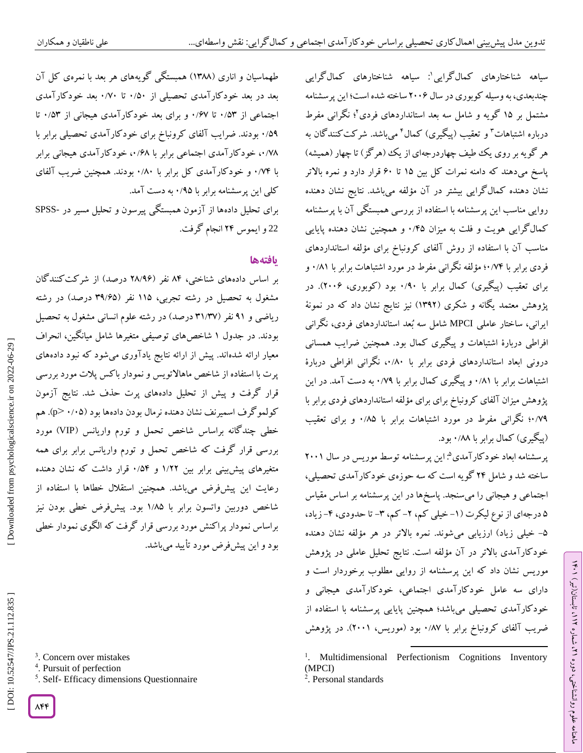علمی ناطقیان و همکاران

سیاهه شناختارهای کمالگرایی : سیاهه شناختارهای کمالگرایی <sup>1</sup> چندبعدی، به وسیله کوبوری در سال 2882 ساخته شده است؛ این پرسشنامه مشتمل بر 10 گویه و شامل سه بعد استانداردهای فردی 2 ؛ نگرانی مفرط درباره اشتباهات<sup>۳</sup> و تعقیب (پیگیری) کمال<sup>۴</sup> می<sub>ا</sub>شد. شرکت کنندگان به هر گویه بر روی یک طیف چهاردرجهای از یک (هرگز) تا چهار (همیشه) پاسخ میدهند که دامنه نمرات کل بین 10 تا 28 قرار دارد و نمره باالتر نشان دهنده کمالگرایی بیشتر در آن مؤلفه میباشد. نتایج نشان دهنده روایی مناسب این پرسشنامه با استفاده از بررسی همبستگی آن با پرسشنامه کمال کرایی هویت و فلت به میزان ۰/۴۵ و همچنین نشان دهنده پایایی مناسب آن با استفاده از روش آلفای کرونباخ برای مؤلفه استانداردهای فردی برابر با ۷۴/۰۲؛ مؤلفه نگرانی مفرط در مورد اشتباهات برابر با ۰/۸۱ و برای تعقیب (پیگیری) کمال برابر با ۰/۹۰ بود (کوبوری، ۲۰۰۶). در پژوهش معتمد یکانه و شکری (۱۳۹۲) نیز نتایج نشان داد که در نمونة ساختار عاملی MPCI شامل سه بُعد استانداردهای فردی، نگرانی ایرانی، افراطی دربارة اشتباهات و پیگیری کمال بود. همچنین ضرایب همسانی درونی ابعاد استانداردهای فردی برابر با ۰۰/۸۰ نکرانی افراطی دربارهٔ اشتباهات برابر با ۰/۸۱ و پیگیری کمال برابر با ۰/۷۹ به دست آمد. در این پژوهش میزان آلفای کرونباخ برای برای مؤلفه استانداردهای فردی برابر با ۰/۷۹ نگرانی مفرط در مورد اشتباهات برابر با ۰/۸۵ و برای تعقیب (پیگیری) کمال برابر با ۰/۸۸ بود.

پرسشنامه ابعاد خودکارآمدی<sup>۵</sup>: این پرسشنامه توسط موریس در سال ۲۰۰۱ ساخته شد و شامل 24 گویه است که سه حوزهی خودکارآمدی تحصیلی، اجتماعی و هیجانی را میسنجد. پاسخها در این پرسشنامه بر اساس مقیاس ۵ درجهای از نوع لیکرت (۱-خیلی کم، ۲- کم، ۳- تا حدودی، ۴-زیاد، ۵– خیلی زیاد) ارزیابی میشوند. نمره بالاتر در هر مؤلفه نشان دهنده خودکارآمدی باالتر در آن مؤلفه است. نتایج تحلیل عاملی در پژوهش موریس نشان داد که این پرسشنامه از روایی مطلوب برخوردار است و دارای سه عامل خودکارآمدی اجتماعی، خودکارآمدی هیجانی و خودکارآمدی تحصیلی میباشد؛ همچنین پایایی پرسشنامه با استفاده از ضریب آلفای کرونباخ برابر با ۰/۸۷ بود (موریس، ۲۰۰۱). در پژوهش

 $\overline{\phantom{a}}$ 

طهماسیان و آناری (۱۳۸۸) همبستگی کویههای هر بعد با نمرهی کل آن بعد در بعد خودکارآمدی تحصیلی از ۰/۵۰ تا ۰/۷۰ بعد خودکارآمدی اجتماعی از ۰/۵۳ تا ۰/۶۷ و برای بعد خود کارآمدی هیجانی از ۰/۵۳ تا بودند. ضرایب آلفای کرونباخ برای خودکارآمدی تحصیلی برابر با 8 /09 ۰/۷۸ خود کار آمدی اجتماعی برابر با ۰۰/۶۸ خود کار آمدی هیجانی برابر با ۰/۷۴ و خود کارآمدی کل برابر با ۰/۸۰ بودند. همچنین ضریب آلفای کلی این پرسشنامه برابر با ۰/۹۵ به دست آمد. SPSS برای تحلیل دادهها از آزمون همبستگی پیرسون و تحلیل مسیر در - <sup>22</sup> و ایموس 24 انجام گرفت.

## **یافتهها**

بر اساس دادههای شناختی، ۸۴ نفر (۲۸/۹۶ درصد) از شرکت کنندگان مشغول به تحصیل در رشته تجربی، ۱۱۵ نفر (۳۹/۶۵ درصد) در رشته ریاضی و ۹۱ نفر (۳۱/۳۷ درصد) در رشته علوم انسانی مشغول به تحصیل بودند. در جدول ۱ شاخصهای توصیفی متغیرها شامل میانگین، انحراف معیار ارائه شدهاند. پیش از ارائه نتایج یادآوری میشود که نبود دادههای پرت با استفاده از شاخص ماهاالتویس و نمودار باکس پالت مورد بررسی قرار گرفت و پیش از تحلیل دادههای پرت حذف شد. نتایج آزمون کولموگرف اسمیرنف نشان دهنده نرمال بودن دادهها بود (۰/۰۵ ×p). هم خطی چندگانه براساس شاخص تحمل و تورم واریانس )VIP )مورد بررسی قرار گرفت که شاخص تحمل و تورم واریانس برابر برای همه متغیرهای پیش.بینی برابر بین ۱/۲۲ و ۵۴/۰ قرار داشت که نشان دهنده رعایت این پیشفرض میباشد. همچنین استقالل خطاها با استفاده از شاخص دوربین واتسون برابر با ۱٬۸۵ بود. پیشفرض خطی بودن نیز براساس نمودار پراکنش مورد بررسی قرار گرفت که الگوی نمودار خطی بود و این پیشفرض مورد تأیید میباشد.

5 . Self- Efficacy dimensions Questionnaire

ラン

<sup>1</sup> . Multidimensional Perfectionism Cognitions Inventory (MPCI)

<sup>2</sup>. Personal standards

<sup>4</sup> . Pursuit of perfection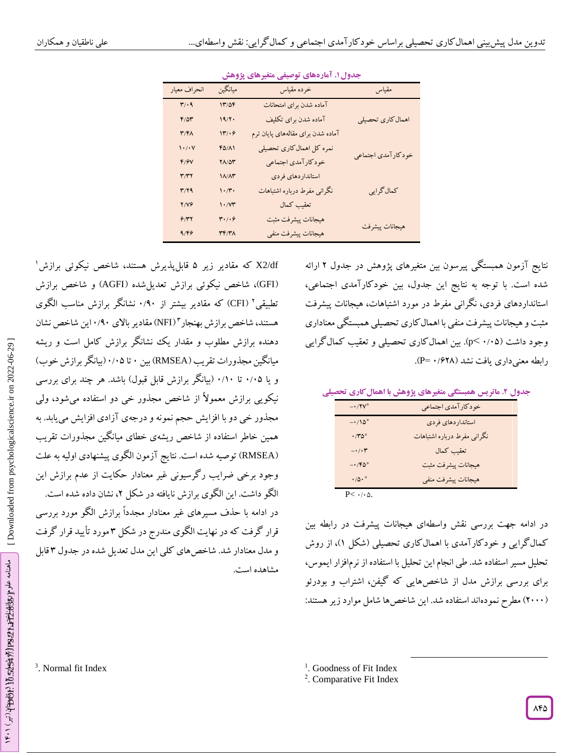|                               | <b>- 77</b>                | - - -                             |                    |
|-------------------------------|----------------------------|-----------------------------------|--------------------|
| انحراف معيار                  | ميانگين                    | خرده مقياس                        | مقياس              |
| $\mathbf{r}/\cdot \mathbf{q}$ | 17/09                      | آماده شدن براي امتحانات           |                    |
| $F/\Delta Y$                  | 19/7                       | آماده شدن براي تكليف              | اهمال كارى تحصيلي  |
| $\mathbf{r}/\mathbf{r}$       | 17/49                      | آماده شدن برای مقالههای پایان ترم |                    |
| $\mathcal{N}(\cdot)$          | $FO/(\Lambda)$             | نمره کل اهمال کاری تحصیلی         |                    |
| F/Y                           | $Y\Lambda/\Delta Y$        | خودكارآمدي اجتماعي                | خودكارآمدي اجتماعي |
| ۳/۳۲                          | $1/\lambda/\lambda r$      | استانداردهاي فردى                 |                    |
| T/Y                           | $\cdot$ /۳.                | نگرانی مفرط درباره اشتباهات       | كمال گرايي         |
| <b>Y/VG</b>                   | $\mathcal{N}(\mathcal{M})$ | تعقيب كمال                        |                    |
| 9/77                          | $r \cdot / \cdot \epsilon$ | هيجانات پيشرفت مثبت               |                    |
| 9/59                          | <b>٣۴/٣٨</b>               | هيجانات پيشرفت منفي               | هيجانات پيشرفت     |
|                               |                            |                                   |                    |

**. آمارههای توصیفی متغیرهای پژوهش جدول1**

X2/df که مقادیر زیر ۵ قابل $بذیرش هستند، شاخص نیکوئی برازش ٔ$ GFI)، شاخص نیکوئی برازش تعدیلشده )AGFI )و شاخص برازش ( تطبیقی<sup>۲</sup> (CFI) که مقادیر بیشتر از ۰/۹۰ نشانگر برازش مناسب الگوی هستند، شاخص برازش بهنجار "(NFI) مقادیر بالای ۱٬۹۰این شاخص نشان دهنده برازش مطلوب و مقدار یک نشانگر برازش کامل است و ریشه میانگین مجذورات تقریب (RMSEA) بین ۰ تا ۰/۰۵ (بیانگر برازش خوب) و یا ۰/۰۵ تا ۰/۱۰ (بیانگر برازش قابل قبول) باشد. هر چند برای بررسی نیکویی برازش معموالً از شاخص مجذور خی دو استفاده میشود، ولی مجذور خی دو با افزایش حجم نمونه و درجهی آزادی افزایش مییابد. به همین خاطر استفاده از شاخص ریشهی خطای میانگین مجذورات تقریب RMSEA )توصیه شده است. نتایج آزمون الگوی پیشنهادی اولیه به علت ( وجود برخی ضرایب رگرسیونی غیر معنادار حکایت از عدم برازش این الگو داشت. این الگوی برازش نایافته در شکل ۲، نشان داده شده است. در ادامه با حذف مسیرهای غیر معنادار مجدداً برازش الگو مورد بررسی قرار کرفت که در نهایت الکوی مندرج در شکل ۳ مورد تایید قرار کرفت و مدل معنادار شد. شاخصهای کلی این مدل تعدیل شده در جدول ۳ قابل مشاهده است.

نتایج آزمون همبستگی پیرسون بین متغیرهای پژوهش در جدول ۲ ارائه شده است. با توجه به نتایج این جدول، بین خودکارآمدی اجتماعی، استانداردهای فردی، نگرانی مفرط در مورد اشتباهات، هیجانات پیشرفت مثبت و هیجانات پیشرفت منفی با اهمالکاری تحصیلی همبستگی معناداری وجود داشت (۰/۰۵–pc). بین اهمالکاری تحصیلی و تعقیب کمالگرایی رابطه معنیداری یافت نشد (۶۲۸/ ۰ P=).<br>.

**. ماتریس همبستگی متغیرهای پژوهش با اهمالکاری تحصیلی جدول 2**

| $-1/7V^*$                         | خودكارآمدي اجتماعي          |  |
|-----------------------------------|-----------------------------|--|
| $-1/\lambda^*$                    | استانداردهاي فردى           |  |
| $\cdot$ /۳۵*                      | نگرانی مفرط درباره اشتباهات |  |
| $-\cdot/\cdot \tau$               | تعقيب كمال                  |  |
| $-1.76$                           | هيجانات پيشرفت مثبت         |  |
| $\cdot/\Delta \cdot$ <sup>*</sup> | هيجانات پيشرفت منفي         |  |
|                                   |                             |  |

 $P<$   $\cdot$  /  $\cdot$   $\vartriangle$ .

در ادامه جهت بررسی نقش واسطهای هیجانات پیشرفت در رابطه بین کمال گرایی و خود کار آمدی با اهمال کاری تحصیلی (شکل ۱)، از روش تحلیل مسیر استفاده شد. طی انجام این تحلیل با استفاده از نرمافزار ایموس، برای بررسی برازش مدل از شاخصهایی که گیفن، اشتراب و بودرئو (۲۰۰۰) مطرح نمودهاند استفاده شد. این شاخص ها شامل موارد زیر هستند:

 $\overline{\phantom{a}}$ 

3 . Normal fit Index

<sup>&</sup>lt;sup>1</sup>. Goodness of Fit Index

<sup>&</sup>lt;sup>2</sup>. Comparative Fit Index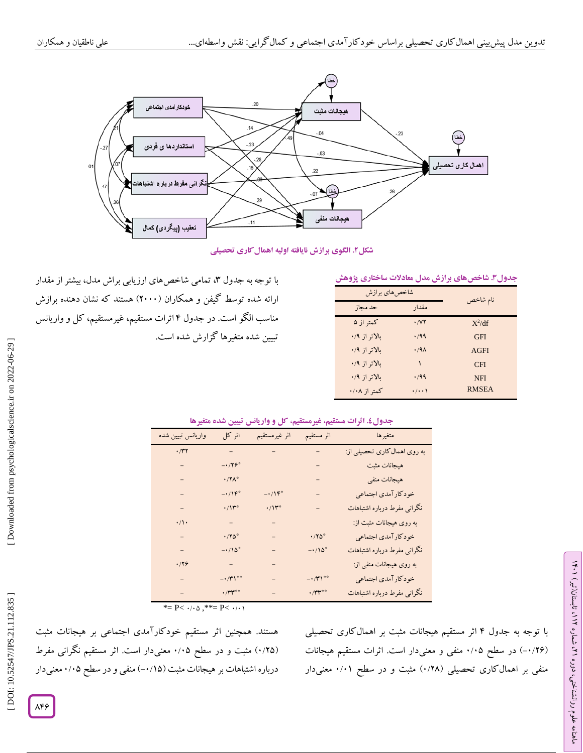

**. الگوی برازش نایافته اولیه اهمالکاری تحصیلی شکل2**

|  | جدول۳. شاخصهای برازش مدل معادلات ساختاری پژوهش |  |
|--|------------------------------------------------|--|
|  |                                                |  |

| شاخص های برازش |                   |              |
|----------------|-------------------|--------------|
| حد مجاز        | مقدار             | نام شاخص     |
| کمتر از ۵      | .7Y               | $X^2/df$     |
| ىالاتر از ۰/۹  | ۰٬۹۹              | <b>GFI</b>   |
| ىالاتر از ۰/۹  | .79 <sub>A</sub>  | AGFI         |
| ىالاتر از ۰/۹  |                   | <b>CFI</b>   |
| ىالاتر از ۰/۹  | .799              | <b>NFI</b>   |
| کمتر از ۰/۰۸   | $\cdot$ / $\cdot$ | <b>RMSEA</b> |

با توجه به جدول ۳، تمامی شاخص های ارزیابی براش مدل، بیشتر از مقدار ارائه شده توسط گیفن و همکاران (۲۰۰۰) هستند که نشان دهنده برازش مناسب الکو است. در جدول ۴ اثرات مستقیم، غیرمستقیم، کل و واریانس تبیین شده متغیرها گزارش شده است.

جدول£. اترات مستقیم، غیرمستقیم، کل و واریانس تبیین شده متغیرها

| واريانس تبيين شده | اثر کل                   | اثر غيرمستقيم         | اثر مستقيم                   | متغيرها                      |
|-------------------|--------------------------|-----------------------|------------------------------|------------------------------|
| $\cdot$ /۳۲       | $\gamma = \gamma$        | $\equiv$              |                              | به روی اهمال کاری تحصیلی از: |
|                   | $-179^\circ$             |                       |                              | هيجانات مثبت                 |
|                   | $\cdot$ /۲ $\Lambda^*$   |                       |                              | هيجانات منفي                 |
|                   | $-1$                     | $-1$                  |                              | خودكارآمدي اجتماعي           |
|                   | $\cdot/\mathcal{N}^*$    | $\cdot/\mathcal{W}^*$ |                              | نگرانی مفرط درباره اشتباهات  |
| $\cdot/\wedge$    | $\equiv$                 | $\qquad \qquad -$     |                              | به روی هیجانات مثبت از:      |
|                   | $\cdot$ /۲۵ <sup>*</sup> | $\equiv$              | $\cdot/ \mathrm{Y} \Delta^*$ | خودكارآمدي اجتماعي           |
|                   | $-1/\lambda^*$           | $\qquad \qquad -$     | $-\cdot/\mathcal{N}^*$       | نگرانی مفرط درباره اشتباهات  |
| .799              | $\equiv$                 |                       |                              | به روی هیجانات منفی از:      |
|                   | $-1/\tilde{r}$           |                       | $ \cdot$ /۳۱**               | خودكارآمدي اجتماعي           |
|                   | $\cdot$ /٣٣              |                       | $\cdot$ /٣٣                  | نگرانی مفرط درباره اشتباهات  |

\*=  $P$ <  $\cdot$  / $\cdot$   $\circ$  ,\*\*=  $P$  <  $\cdot$  / $\cdot$   $\circ$ 

هستند. همچنین اثر مستقیم خودکارآمدی اجتماعی بر هیجانات مثبت (۰/۲۵) مثبت و در سطح ۰/۰۵ معنیدار است. اثر مستقیم نگرانی مفرط درباره اشتباهات بر هیجانات مثبت (۰/۱۵–) منفی و در سطح ۰/۰۵ معنیدار

با توجه به جدول ۴ اثر مستقیم هیجانات مثبت بر اهمال کاری تحصیلی (۱۲۶)-) در سطح ۰/۰۵ منفی و معنیدار است. اثرات مستقیم هیجانات منفی بر اهمال کاری تحصیلی (۱٬۲۸) مثبت و در سطح ۰/۰۱ معنیدار ラン

، تابستان)تیر( 112

، شماره 21

ماهنامه علوم روانشناختی، دوره

 [\[ DOI: 10.52547/JPS.21.112.835 \]](http://dx.doi.org/10.52547/JPS.21.112.835) [\[ Downloaded from psychologicalscience.i](https://psychologicalscience.ir/article-1-1062-fa.html)r on 2022-06-29 ] Downloaded from psychologicalscience.ir on 2022-06-29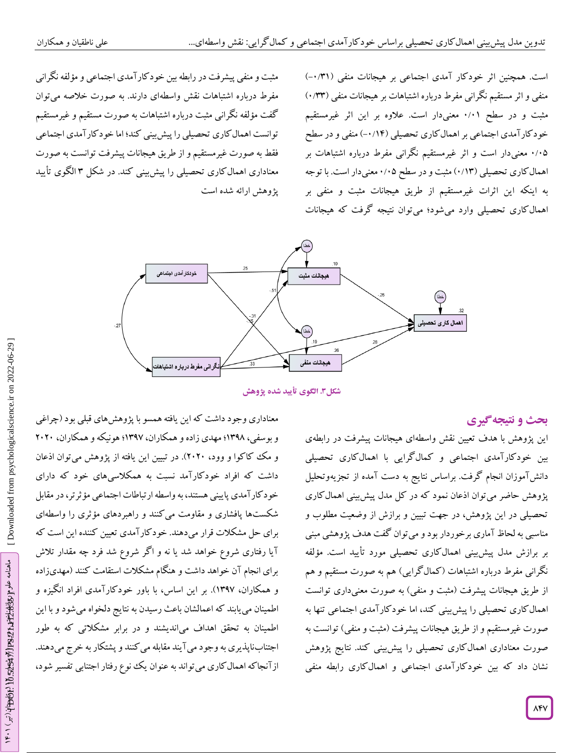مثبت و منفی پیشرفت در رابطه بین خودکارآمدی اجتماعی و مؤلفه نگرانی مفرط درباره اشتباهات نقش واسطهای دارند. به صورت خالصه میتوان گفت مؤلفه نگرانی مثبت درباره اشتباهات به صورت مستقیم و غیرمستقیم توانست اهمالکاری تحصیلی را پیشبینی کند؛ اما خودکارآمدی اجتماعی فقط به صورت غیرمستقیم و از طریق هیجانات پیشرفت توانست به صورت معناداری اهمال کاری تحصیلی را پیش بینی کند. در شکل ۳ الکوی تایید پژوهش ارائه شده است

اجتنابناپذیری به وجود میآیند مقابله میکنند و پشتکار به خرج میدهند.

ازآنجاکه اهمالکاری میتواند به عنوان یک نوع رفتار اجتنابی تفسیر شود،

است. همچنین اثر خودکار آمدی اجتماعی بر هیجانات منفی (۰/۳۱-) منفی و اثر مستقیم نگرانی مفرط درباره اشتباهات بر هیجانات منفی (۱۳۳ مثبت و در سطح ۰/۰۱ معنیدار است. علاوه بر این اثر غیرمستقیم خود کار آمدی اجتماعی بر اهمال کاری تحصیلی (۱۴/ ۰-) منفی و در سطح معنیدار است و اثر غیرمستقیم نگرانی مفرط درباره اشتباهات بر 8 /80 اهمال کاری تحصیلی (۱۳/۰) مثبت و در سطح ۰/۰۵ معنیدار است. با توجه به اینکه این اثرات غیرمستقیم از طریق هیجانات مثبت و منفی بر اهمالکاری تحصیلی وارد میشود؛ میتوان نتیجه گرفت که هیجانات



**. الگوی تأیید شده پژوهش شکل3**

# **ی نتیجهگیر بحث و**

این پژوهش با هدف تعیین نقش واسطهای هیجانات پیشرفت در رابطهی بین خودکارآمدی اجتماعی و کمالگرایی با اهمالکاری تحصیلی دانشآموزان انجام گرفت. براساس نتایج به دست آمده از تجزیهوتحلیل پژوهش حاضر میتوان اذعان نمود که در کل مدل پیشبینی اهمالکاری تحصیلی در این پژوهش، در جهت تبیین و برازش از وضعیت مطلوب و مناسبی به لحاظ آماری برخوردار بود و میتوان گفت هدف پژوهشی مبنی بر برازش مدل پیشبینی اهمالکاری تحصیلی مورد تأیید است. مؤلفه نگرانی مفرط درباره اشتباهات (کمال کرایی) هم به صورت مستقیم و هم از طریق هیجانات پیشرفت (مثبت و منفی) به صورت معنیداری توانست اهمالکاری تحصیلی را پیشبینی کند، اما خودکارآمدی اجتماعی تنها به صورت غیرمستقیم و از طریق هیجانات پیشرفت (مثبت و منفی) توانست به صورت معناداری اهمالکاری تحصیلی را پیشبینی کند. نتایج پژوهش نشان داد که بین خودکارآمدی اجتماعی و اهمالکاری رابطه منفی

معناداری وجود داشت که این یافته همسو با پژوهشهای قبلی بود )چراغی و بوسفی، ۱۳۹۸؛ مهدی زاده و همکاران، ۱۳۹۷؛ هونیکه و همکاران، ۲۰۲۰ و مک کاکوا و وود، ۲۰۲۰). در تبیین این یافته از پژوهش میتوان اذعان داشت که افراد خودکارآمد نسبت به همکالسیهای خود که دارای خودکارآمدی پایینی هستند، به واسطه ارتباطات اجتماعی مؤثرتر، در مقابل شکستها پافشاری و مقاومت میکنند و راهبردهای مؤثری را واسطهای برای حل مشکالت قرار میدهند. خودکارآمدی تعیین کننده این است که آیا رفتاری شروع خواهد شد یا نه و اگر شروع شد فرد چه مقدار تالش برای انجام آن خواهد داشت و هنگام مشکالت استقامت کنند )مهدیزاده و همکاران، 1391(. بر این اساس، با باور خودکارآمدی افراد انگیزه و اطمینان مییابند که اعمالشان باعث رسیدن به نتایج دلخواه میشود و با این اطمینان به تحقق اهداف میاندیشند و در برابر مشکالتی که به طور  [\[ DOI: 10.52547/JPS.21.112.835 \]](http://dx.doi.org/10.52547/JPS.21.112.835) [\[ Downloaded from psychologicalscience.i](https://psychologicalscience.ir/article-1-1062-fa.html)r on 2022-06-29 ]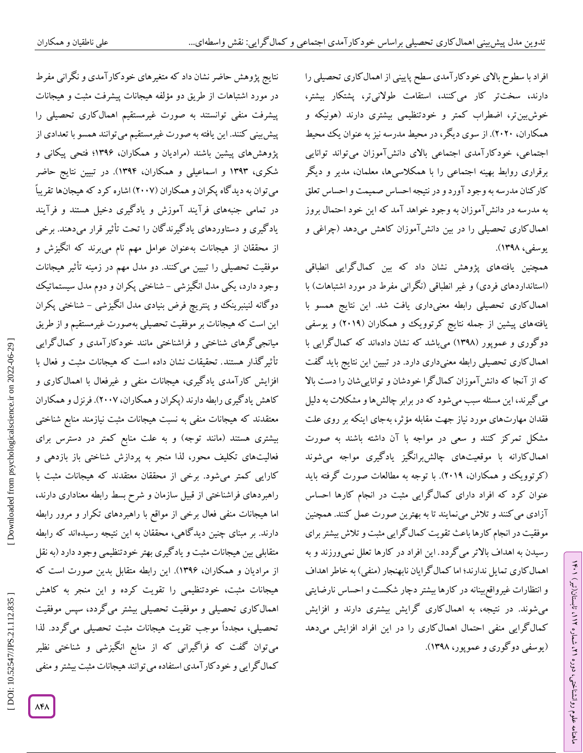علمی ناطقیان و همکاران

افراد با سطوح باالی خودکارآمدی سطح پایینی از اهمالکاری تحصیلی را دارند، سختتر کار میکنند، استقامت طوالنیتر، پشتکار بیشتر، خوشبینتر، اضطراب کمتر و خودتنظیمی بیشتری دارند (هونیکه و همکاران، ۲۰۲۰). از سوی دیگر، در محیط مدرسه نیز به عنوان یک محیط اجتماعی، خودکارآمدی اجتماعی باالی دانشآموزان میتواند توانایی برقراری روابط بهینه اجتماعی را با همکالسیها، معلمان، مدیر و دیگر کارکنان مدرسه به وجود آورد و در نتیجه احساس صمیمت و احساس تعلق به مدرسه در دانشآموزان به وجود خواهد آمد که این خود احتمال بروز اهمالکاری تحصیلی را در بین دانشآموزان کاهش میدهد )چراغی و یوسفی، 1390(.

همچنین یافتههای پژوهش نشان داد که بین کمالگرایی انطباقی (استانداردهای فردی) و غیر انطباقی (نگرانی مفرط در مورد اشتباهات) با اهمالکاری تحصیلی رابطه معنیداری یافت شد. این نتایج همسو با یافتههای پیشین از جمله نتایج کرتوویک و همکاران )2819( و یوسفی دوگوری و عموپور )1390( میباشد که نشان دادهاند که کمالگرایی با اهمالکاری تحصیلی رابطه معنیداری دارد. در تبیین این نتایج باید گفت که از آنجا که دانشآموزان کمالگرا خودشان و تواناییشان را دست باال میگیرند، این مسئله سبب میشود که در برابر چالشها و مشکالت به دلیل فقدان مهارتهای مورد نیاز جهت مقابله مؤثر، بهجای اینکه بر روی علت مشکل تمرکز کنند و سعی در مواجه با آن داشته باشند به صورت اهمالکارانه با موقعیتهای چالشبرانگیز یادگیری مواجه میشوند (کرتوویک و همکاران، ۲۰۱۹). با توجه به مطالعات صورت کرفته باید عنوان کرد که افراد دارای کمالگرایی مثبت در انجام کارها احساس<br>آزادی میکنند و تلاش مینمایند تا به بهترین صورت عمل کنند. همچنین موفقیت در انجام کارها باعث تقویت کمالگرایی مثبت و تالش بیشتر برای رسیدن به اهداف بالاتر میگردد. این افراد در کارها تعلل نم<u>ی</u>ورزند و به اهمال کاری تمایل ندارند؛ اما کمال کرایان نابهنجار (منفی) به خاطر اهداف و انتظارات غیرواقعبینانه در کارها بیشتر دچار شکست و احساس نارضایتی میشوند. در نتیجه، به اهمالکاری گرایش بیشتری دارند و افزایش کمالگرایی منفی احتمال اهمالکاری را در این افراد افزایش میدهد )یوسفی دوگوری و عموپور، 1390(.

ラン

، تابستان)تیر( 112

، شماره 21

ماهنامه علوم روانشناختی، دوره

نتایج پژوهش حاضر نشان داد که متغیرهای خودکارآمدی و نگرانی مفرط در مورد اشتباهات از طریق دو مؤلفه هیجانات پیشرفت مثبت و هیجانات پیشرفت منفی توانستند به صورت غیرمستقیم اهمالکاری تحصیلی را پیشبینی کنند. این یافته به صورت غیرمستقیم میتوانند همسو با تعدادی از پژوهشهای پیشین باشند )مرادیان و همکاران، 1392؛ فتحی پیکانی و شکری، 1393 و اسماعیلی و همکاران، 1394(. در تبیین نتایج حاضر می توان به دید کاه پکران و همکاران (۲۰۰۷) اشاره کرد که هیجانها تقریباً در تمامی جنبههای فرایند اموزش و یادکیری دخیل هستند و فرایند یادگیری و دستاوردهای یادگیرندگان را تحت تأثیر قرار میدهند. برخی از محققان از هیجانات بهعنوان عوامل مهم نام میبرند که انگیزش و موفقیت تحصیلی را تبیین میکنند. دو مدل مهم در زمینه تأثیر هیجانات وجود دارد، یکی مدل انگیزشی – شناختی پکران و دوم مدل سیستماتیک دو کانه لنینبرینک و پنتریچ فرض بنیادی مدل انگیزشی – شناختی پکران این است که هیجانات بر موفقیت تحصیلی بهصورت غیرمستقیم و از طریق میانجیگرهای شناختی و فراشناختی مانند خودکارآمدی و کمالگرایی تأثیرگذار هستند. تحقیقات نشان داده است که هیجانات مثبت و فعال با افزایش کارآمدی یادگیری، هیجانات منفی و غیرفعال با اهمالکاری و کاهش یادگیری رابطه دارند )پکران و همکاران، 2881(. فرنزل و همکاران معتقدند که هیجانات منفی به نسبت هیجانات مثبت نیازمند منابع شناختی بیشتری هستند (مانند توجه) و به علت منابع کمتر در دسترس برای فعالیتهای تکلیف محور، لذا منجر به پردازش شناختی باز بازدهی و کارایی کمتر میشود. برخی از محققان معتقدند که هیجانات مثبت با راهبردهای فراشناختی از قبیل سازمان و شرح بسط رابطه معناداری دارند، اما هیجانات منفی فعال برخی از مواقع با راهبردهای تکرار و مرور رابطه دارند. بر مبنای چنین دیدگاهی، محققان به این نتیجه رسیدهاند که رابطه متقابلی بین هیجانات مثبت و یاد کیری بهتر خودتنظیمی وجود دارد (به نقل از مرادیان و همکاران، 1392(. این رابطه متقابل بدین صورت است که هیجانات مثبت، خودتنظیمی را تقویت کرده و این منجر به کاهش اهمالکاری تحصیلی و موفقیت تحصیلی بیشتر میگردد، سپس موفقیت تحصیلی، مجدداً موجب تقویت هیجانات مثبت تحصیلی میگردد. لذا میتوان گفت که فراگیرانی که از منابع انگیزشی و شناختی نظیر کمال گرایی و خودکار آمدی استفاده می توانند هیجانات مثبت بیشتر و منفی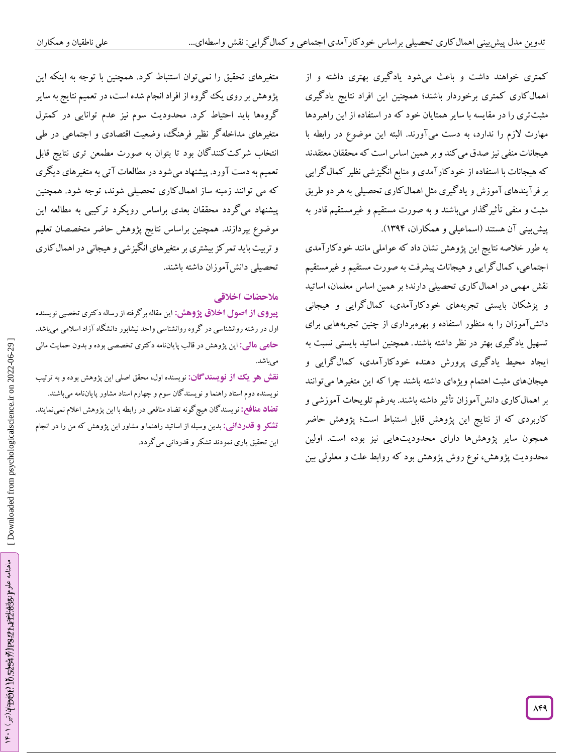کمتری خواهند داشت و باعث میشود یادگیری بهتری داشته و از اهمالکاری کمتری برخوردار باشند؛ همچنین این افراد نتایج یادگیری مثبتتری را در مقایسه با سایر همتایان خود که در استفاده از این راهبردها مهارت الزم را ندارد، به دست میآورند. البته این موضوع در رابطه با هیجانات منفی نیز صدق میکند و بر همین اساس است که محققان معتقدند که هیجانات با استفاده از خودکارآمدی و منابع انگیزشی نظیر کمالگرایی بر فر آیندهای آموزش و یاد کیری مثل اهمال کاری تحصیلی به هر دو طریق مثبت و منفی تأثیرگذار میباشند و به صورت مستقیم و غیرمستقیم قادر به پیشبینی آن هستند (اسماعیلی و همکاران، ۱۳۹۴).

به طور خالصه نتایج این پژوهش نشان داد که عواملی مانند خودکارآمدی اجتماعی، کمالگرایی و هیجانات پیشرفت به صورت مستقیم و غیرمستقیم نقش مهمی در اهمالکاری تحصیلی دارند؛ بر همین اساس معلمان، اساتید و پزشکان بایستی تجربههای خودکارآمدی، کمالگرایی و هیجانی دانشآموزان را به منظور استفاده و بهرهبرداری از چنین تجربههایی برای تسهیل یادگیری بهتر در نظر داشته باشند. همچنین اساتید بایستی نسبت به ایجاد محیط یادگیری پرورش دهنده خودکارآمدی، کمالگرایی و هیجانهای مثبت اهتمام ویژهای داشته باشند چرا که این متغیرها میتوانند بر اهمالکاری دانشآموزان تأثیر داشته باشند. بهرغم تلویحات آموزشی و کاربردی که از نتایج این پژوهش قابل استنباط است؛ پژوهش حاضر همچون سایر پژوهشها دارای محدودیتهایی نیز بوده است. اولین محدودیت پژوهش، نوع روش پژوهش بود که روابط علت و معلولی بین

متغیرهای تحقیق را نمیتوان استنباط کرد. همچنین با توجه به اینکه این پژوهش بر روی یک گروه از افراد انجام شده است، در تعمیم نتایج به سایر گروهها باید احتیاط کرد. محدودیت سوم نیز عدم توانایی در کمترل متغیرهای مداخلهگر نظیر فرهنگ، وضعیت اقتصادی و اجتماعی در طی انتخاب شرکتکنندگان بود تا بتوان به صورت مطمعن تری نتایج قابل تعمیم به دست آورد. پیشنهاد میشود در مطالعات آتی به متغیرهای دیگری که می توانند زمینه ساز اهمالکاری تحصیلی شوند، توجه شود. همچنین پیشنهاد میگردد محققان بعدی براساس رویکرد ترکیبی به مطالعه این موضوع بپردازند. همچنین براساس نتایج پژوهش حاضر متخصصان تعلیم و تربیت باید تمرکز بیشتری برمتغیرهای انگیزشی و هیجانی در اهمالکاری تحصیلی دانش<sup>7</sup>موزان داشته باشند.<br>ملا**حضات اخلاق**ی

این مقاله برگرفته از رساله دکتری تخصیی نویسنده **از اصول اخالق پژوهش: پیروی** اول در رشته روانشناسی در کروه روانشناسی واحد نیشابور دانشکاه آزاد اسلامی میباشد. این پژوهش در قالب پایاننامه دکتری تخصصی بوده و بدون حمایت مالی **: مالی حامی** میباشد.

**نقش هو یک از نویسندگان:** نویسنده اول، محقق اصلی این پژوهش بوده و به ترتیب نویسنده دوم استاد راهنما و نویسندگان سوم و چهارم استاد مشاور پایاننامه میباشند. نویسندگان هیچگونه تضاد منافعی در رابطه با این پژوهش اعالم نمینمایند. **تضاد منافع:** بدین وسیله از اساتید راهنما و مشاور این پژوهش که من را در انجام **: قدردانی تشکر و** این تحقیق یاری نمودند تشکر و قدردانی میگردد.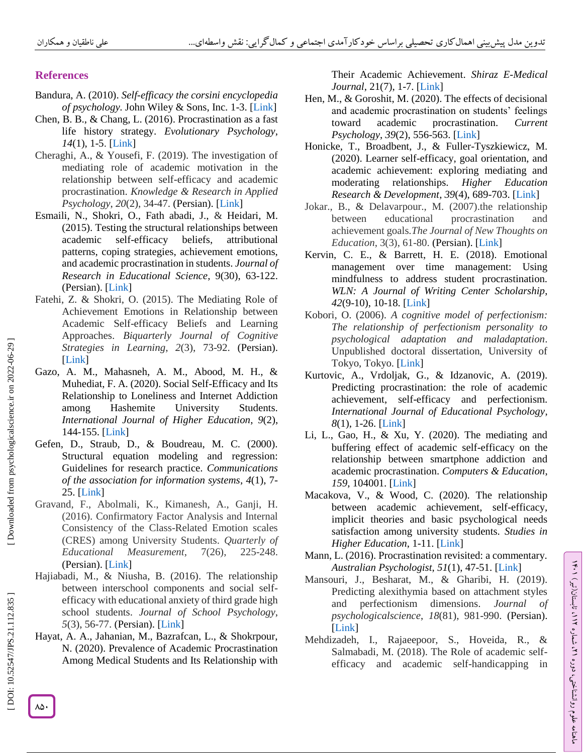# **References**

- Bandura, A. (2010). *Self-efficacy the corsini encyclopedia of psychology.* John Wiley & Sons, Inc*.*  1 -3. [\[Link](https://onlinelibrary.wiley.com/doi/10.1002/9780470479216.corpsy0836) ]
- Chen, B. B., & Chang, L. (2016). Procrastination as a fast life history strategy. *Evolutionary Psychology* , 14(1), 1-5. [\[Link](https://journals.sagepub.com/doi/10.1177/1474704916630314)]
- Cheraghi, A., & Yousefi, F. (2019). The investigation of mediating role of academic motivation in the relationship between self -efficacy and academic procrastination. *Knowledge & Research in Applied Psychology* , *20*(2), 34 -47. (Persian). [\[Link](http://jsr-p.khuisf.ac.ir/article_665258.html) ]
- Esmaili, N., Shokri, O., Fath abadi, J., & Heidari, M. (2015). Testing the structural relationships between academic self-efficacy beliefs, attributional patterns, coping strategies, achievement emotions, and academic procrastination in students. *Journal of Research in Educational Science*, 9(30), 6 3 -122. (Persian). [\[Link](http://www.jiera.ir/article_50108.html?lang=fa) ]
- Fatehi, Z. & Shokri, O. (2015). The Mediating Role of Achievement Emotions in Relationship between Academic Self-efficacy Beliefs and Learning Approaches. *Biquarterly Journal of Cognitive*  Strategies in Learning, 2(3), 73-92. (Persian). [\[Link](https://asj.basu.ac.ir/article_1021.html) ]
- Gazo, A. M., Mahasneh, A. M., Abood, M. H., & Muhediat, F. A. (2020). Social Self -Efficacy and Its Relationship to Loneliness and Internet Addiction among Hashemite University Students. *International Journal of Higher Education* , *9*(2), 144-155. [\[Link](https://www.sciedu.ca/journal/index.php/ijhe/article/view/17011)]
- Gefen, D., Straub, D., & Boudreau, M. C. (2000). Structural equation modeling and regression: Guidelines for research practice. *Communications of the association for information systems* , *4*(1), 7 - 25. [\[Link](https://aisel.aisnet.org/cais/vol4/iss1/7/) ]
- Gravand, F., Abolmali, K., Kimanesh, A., Ganji, H. (2016). Confirmatory Factor Analysis and Internal Consistency of the Class -Related Emotion scales (CRES) among University Students. *Quarterly of Educational Measurement*, 7(26), 225-248. (Persian). [\[Link](https://jem.atu.ac.ir/article_7566.html?lang=en) ]
- Hajiabadi, M., & Niusha, B. (2016). The relationship between interschool components and social self efficacy with educational anxiety of third grade high school students. *Journal of School Psychology* , *5*(3), 56 -77. (Persian). [\[Link](http://jsp.uma.ac.ir/article_463.html) ]
- Hayat, A. A., Jahanian, M., Bazrafcan, L., & Shokrpour, N. (2020). Prevalence of Academic Procrastination Among Medical Students and Its Relationship with

Their Academic Achievement. *Shiraz E -Medical Journal*, 21(7), 1-7. [\[Link](https://www.researchgate.net/publication/340447846_Prevalence_of_Academic_Procrastination_Among_Medical_Students_and_Its_Relationship_with_Their_Academic_Achievement)]

- Hen, M., & Goroshit, M. (2020). The effects of decisional and academic procrastination on students' feelings toward academic procrastination. *Current Psychology* , *39*(2), 556 -563. [\[Link](https://www.researchgate.net/publication/322347842_The_effects_of_decisional_and_academic_procrastination_on_students) ]
- Honicke, T., Broadbent, J., & Fuller -Tyszkiewicz, M. (2020). Learner self-efficacy, goal orientation, and academic achievement: exploring mediating and moderating relationships. *Higher Education Research & Development* , *39*(4), 689 -703. [\[Link](https://www.tandfonline.com/doi/abs/10.1080/07294360.2019.1685941?journalCode=cher20) ]
- Jokar., B., & Delavarpour., M. (2007).the relationship between educational procrastination and achievement goals*.The Journal of New Thoughts on Education*, 3(3), 61 -80. (Persian). [\[Link](https://jontoe.alzahra.ac.ir/article_312.html?lang=fa) ]
- Kervin, C. E., & Barrett, H. E. (2018). Emotional management over time management: Using mindfulness to address student procrastination. *WLN: A Journal of Writing Center Scholarship* , *42*(9 -10), 10 -18. [\[Link](https://www.semanticscholar.org/paper/Emotional-Management-over-Time-Management%3A-Using-to-Kervin-Barrett/f91bb5bd550ca8894a1640d6020db8ff0e9a9032) ]
- Kobori, O. (2006). *A cognitive model of perfectionism: The relationship of perfectionism personality to psychological adaptation and maladaptation* . Unpublished doctoral dissertation, University of Tokyo, Tokyo. [\[Link](https://ci.nii.ac.jp/naid/500000357485/) ]
- Kurtovic, A., Vrdoljak, G., & Idzanovic, A. (2019). Predicting procrastination: the role of academic achievement, self-efficacy and perfectionism. *International Journal of Educational Psychology* , *8*(1), 1 -26. [\[Link](https://www.researchgate.net/publication/331317563_Predicting_Procrastination_The_Role_of_Academic_Achievement_Self-efficacy_and_Perfectionism) ]
- Li, L., Gao, H., & Xu, Y. (2020). The mediating and buffering effect of academic self -efficacy on the relationship between smartphone addiction and academic procrastination. *Computers & Education* , *159*, 104001. [\[Link](https://www.sciencedirect.com/science/article/abs/pii/S0360131520301998) ]
- Macakova, V., & Wood, C. (2020). The relationship between academic achievement, self -efficacy, implicit theories and basic psychological needs satisfaction among university students. *Studies in*  Higher Education, 1-11. [\[Link](https://www.tandfonline.com/doi/abs/10.1080/03075079.2020.1739017)]
- Mann, L. (2016). Procrastination revisited: a commentary. *Australian Psychologist* , *51*(1), 47 -51. [\[Link](https://aps.onlinelibrary.wiley.com/doi/abs/10.1111/ap.12208) ]

ラン

، تابستان)تیر( 112

، شماره 21

ماهنامه علوم روانشناختی، دوره

- Mansouri, J., Besharat, M., & Gharibi, H. (2019). Predicting alexithymia based on attachment styles and perfectionism dimensions. *Journal of psychologicalscience* , *18*(81), 981 -990. (Persian). [\[Link](https://psychologicalscience.ir/article-1-511-fa.html) ]
- Mehdizadeh, I., Rajaeepoor, S., Hoveida, R., & Salmabadi, M. (2018). The Role of academic self efficacy and academic self -handicapping in